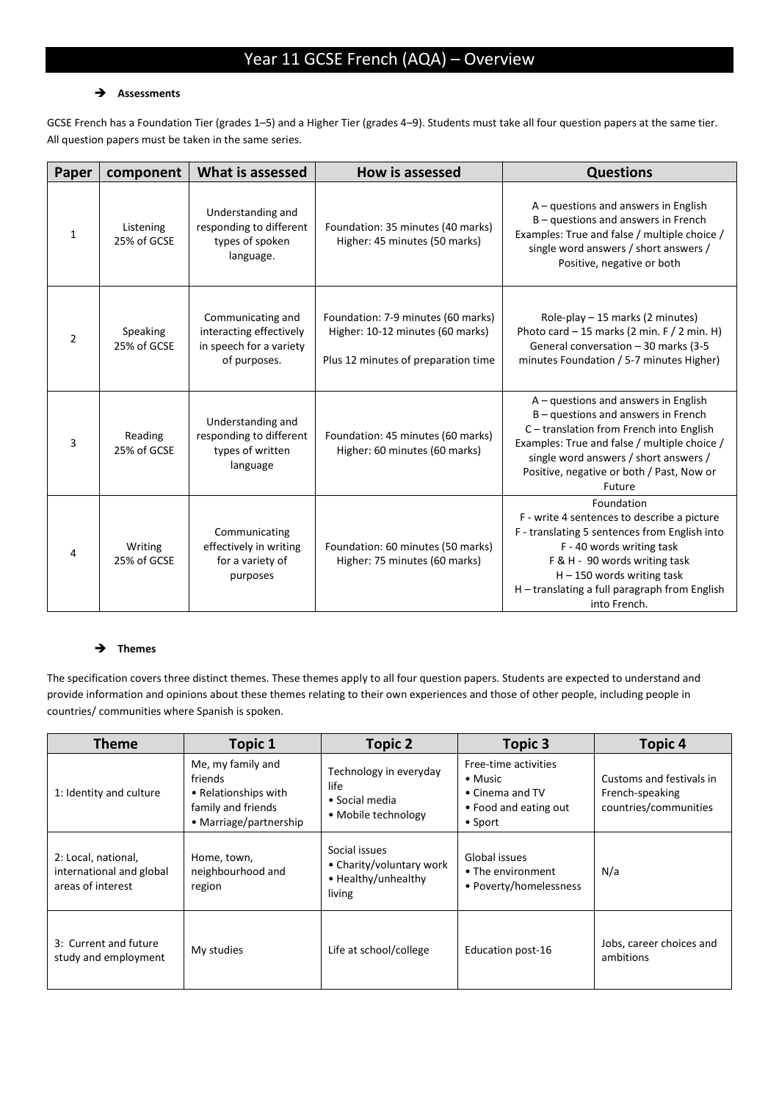# Year 11 GCSE French (AQA) – Overview

### **Assessments**

GCSE French has a Foundation Tier (grades 1–5) and a Higher Tier (grades 4–9). Students must take all four question papers at the same tier. All question papers must be taken in the same series.

| Paper | component                | What is assessed                                                                        | <b>How is assessed</b>                                                                                        | <b>Questions</b>                                                                                                                                                                                                                                                            |
|-------|--------------------------|-----------------------------------------------------------------------------------------|---------------------------------------------------------------------------------------------------------------|-----------------------------------------------------------------------------------------------------------------------------------------------------------------------------------------------------------------------------------------------------------------------------|
| 1     | Listening<br>25% of GCSE | Understanding and<br>responding to different<br>types of spoken<br>language.            | Foundation: 35 minutes (40 marks)<br>Higher: 45 minutes (50 marks)                                            | $A -$ questions and answers in English<br>B - questions and answers in French<br>Examples: True and false / multiple choice /<br>single word answers / short answers /<br>Positive, negative or both                                                                        |
| 2     | Speaking<br>25% of GCSE  | Communicating and<br>interacting effectively<br>in speech for a variety<br>of purposes. | Foundation: 7-9 minutes (60 marks)<br>Higher: 10-12 minutes (60 marks)<br>Plus 12 minutes of preparation time | Role-play $-15$ marks (2 minutes)<br>Photo card $-15$ marks (2 min. F / 2 min. H)<br>General conversation - 30 marks (3-5<br>minutes Foundation / 5-7 minutes Higher)                                                                                                       |
| 3     | Reading<br>25% of GCSE   | Understanding and<br>responding to different<br>types of written<br>language            | Foundation: 45 minutes (60 marks)<br>Higher: 60 minutes (60 marks)                                            | $A -$ questions and answers in English<br>$B -$ questions and answers in French<br>C - translation from French into English<br>Examples: True and false / multiple choice /<br>single word answers / short answers /<br>Positive, negative or both / Past, Now or<br>Future |
| 4     | Writing<br>25% of GCSE   | Communicating<br>effectively in writing<br>for a variety of<br>purposes                 | Foundation: 60 minutes (50 marks)<br>Higher: 75 minutes (60 marks)                                            | Foundation<br>F - write 4 sentences to describe a picture<br>F - translating 5 sentences from English into<br>F - 40 words writing task<br>F & H - 90 words writing task<br>$H - 150$ words writing task<br>H - translating a full paragraph from English<br>into French.   |

## → Themes

The specification covers three distinct themes. These themes apply to all four question papers. Students are expected to understand and provide information and opinions about these themes relating to their own experiences and those of other people, including people in countries/ communities where Spanish is spoken.

| <b>Theme</b>                                                         | <b>Topic 1</b>                                                                                       | <b>Topic 2</b>                                                             | <b>Topic 3</b>                                                                                         | <b>Topic 4</b>                                                       |
|----------------------------------------------------------------------|------------------------------------------------------------------------------------------------------|----------------------------------------------------------------------------|--------------------------------------------------------------------------------------------------------|----------------------------------------------------------------------|
| 1: Identity and culture                                              | Me, my family and<br>friends<br>• Relationships with<br>family and friends<br>• Marriage/partnership | Technology in everyday<br>life<br>• Social media<br>• Mobile technology    | Free-time activities<br>$\bullet$ Music<br>• Cinema and TV<br>• Food and eating out<br>$\bullet$ Sport | Customs and festivals in<br>French-speaking<br>countries/communities |
| 2: Local, national,<br>international and global<br>areas of interest | Home, town,<br>neighbourhood and<br>region                                                           | Social issues<br>• Charity/voluntary work<br>• Healthy/unhealthy<br>living | Global issues<br>• The environment<br>• Poverty/homelessness                                           | N/a                                                                  |
| 3: Current and future<br>study and employment                        | My studies                                                                                           | Life at school/college                                                     | Education post-16                                                                                      | Jobs, career choices and<br>ambitions                                |